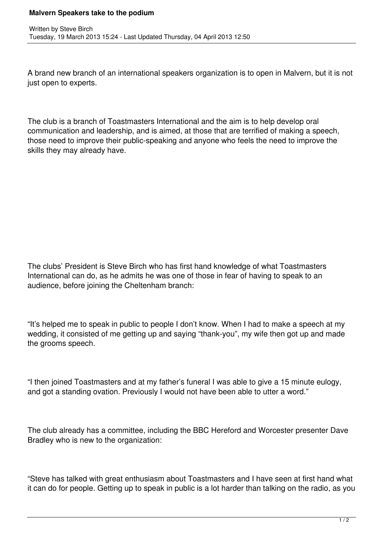## **Malvern Speakers take to the podium**

A brand new branch of an international speakers organization is to open in Malvern, but it is not just open to experts.

The club is a branch of Toastmasters International and the aim is to help develop oral communication and leadership, and is aimed, at those that are terrified of making a speech, those need to improve their public-speaking and anyone who feels the need to improve the skills they may already have.

The clubs' President is Steve Birch who has first hand knowledge of what Toastmasters International can do, as he admits he was one of those in fear of having to speak to an audience, before joining the Cheltenham branch:

"It's helped me to speak in public to people I don't know. When I had to make a speech at my wedding, it consisted of me getting up and saying "thank-you", my wife then got up and made the grooms speech.

"I then joined Toastmasters and at my father's funeral I was able to give a 15 minute eulogy, and got a standing ovation. Previously I would not have been able to utter a word."

The club already has a committee, including the BBC Hereford and Worcester presenter Dave Bradley who is new to the organization:

"Steve has talked with great enthusiasm about Toastmasters and I have seen at first hand what it can do for people. Getting up to speak in public is a lot harder than talking on the radio, as you